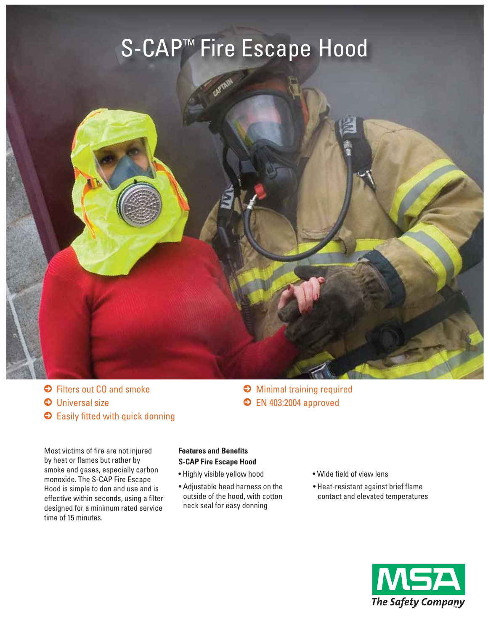# S-CAP™ Fire Escape Hood



 $\bullet$  Filters out CO and smoke  $\Theta$  Universal size **Easily fitted with quick donning**   $\Theta$  Minimal training required **• EN 403:2004 approved** 

Most victims of fire are not injured by heat or flames but rather by smoke and gases, especially carbon monoxide. The S-CAP Fire Escape Hood is simple to don and use and is effective within seconds, using a filter designed for a minimum rated service time of 15 minutes.

### **Features and Benefits S-CAP Fire Escape Hood**

- Highly visible yellow hood
- Adjustable head harness on the outside of the hood, with cotton neck seal for easy donning
- Wide field of view lens
- Heat-resistant against brief flame contact and elevated temperatures